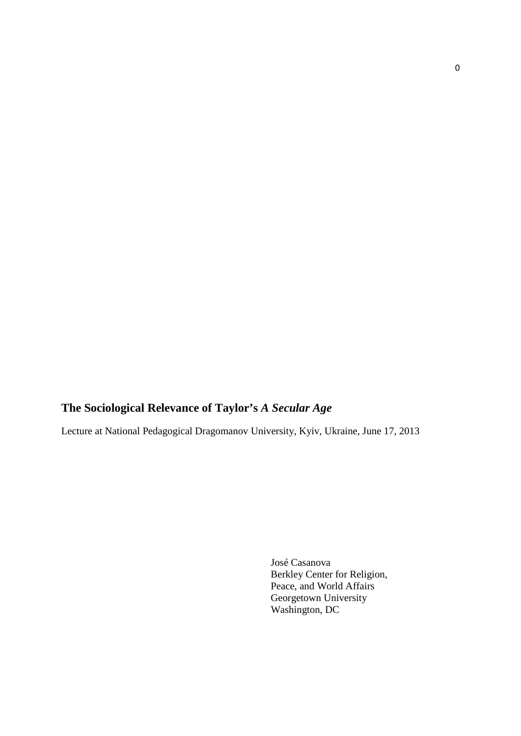## **The Sociological Relevance of Taylor's** *A Secular Age*

Lecture at National Pedagogical Dragomanov University, Kyiv, Ukraine, June 17, 2013

José Casanova Berkley Center for Religion, Peace, and World Affairs Georgetown University Washington, DC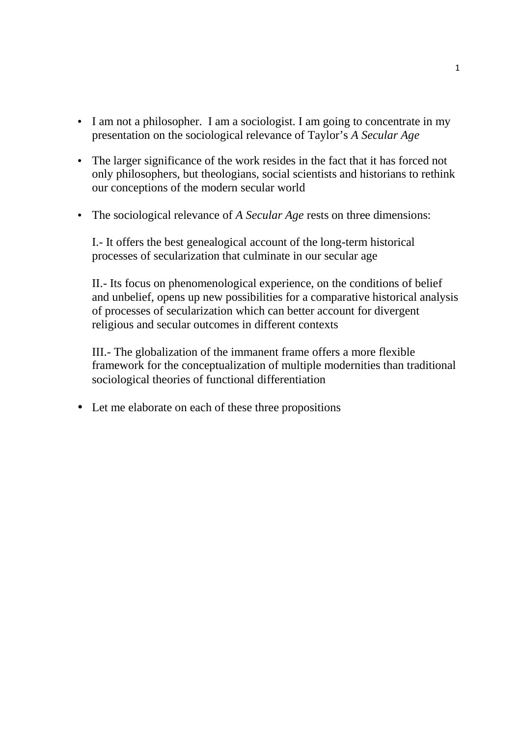- I am not a philosopher. I am a sociologist. I am going to concentrate in my presentation on the sociological relevance of Taylor's *A Secular Age*
- The larger significance of the work resides in the fact that it has forced not only philosophers, but theologians, social scientists and historians to rethink our conceptions of the modern secular world
- The sociological relevance of *A Secular Age* rests on three dimensions:

I.- It offers the best genealogical account of the long-term historical processes of secularization that culminate in our secular age

II.- Its focus on phenomenological experience, on the conditions of belief and unbelief, opens up new possibilities for a comparative historical analysis of processes of secularization which can better account for divergent religious and secular outcomes in different contexts

III.- The globalization of the immanent frame offers a more flexible framework for the conceptualization of multiple modernities than traditional sociological theories of functional differentiation

• Let me elaborate on each of these three propositions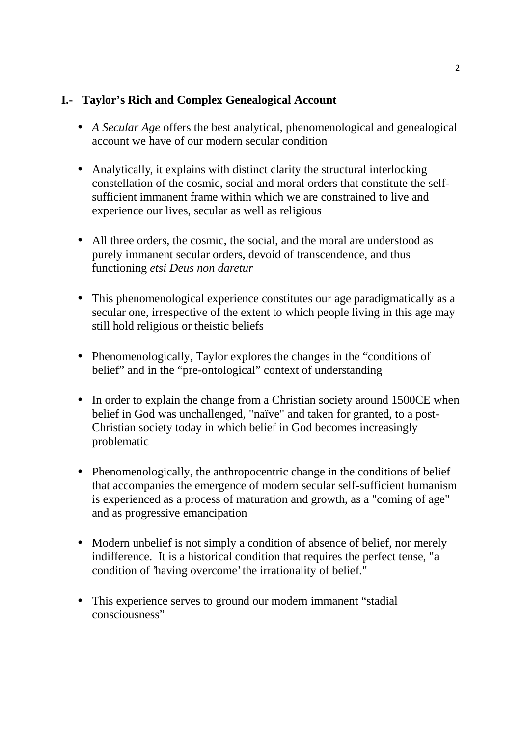## **I.- Taylor's Rich and Complex Genealogical Account**

- *A Secular Age* offers the best analytical, phenomenological and genealogical account we have of our modern secular condition
- Analytically, it explains with distinct clarity the structural interlocking constellation of the cosmic, social and moral orders that constitute the self sufficient immanent frame within which we are constrained to live and experience our lives, secular as well as religious
- All three orders, the cosmic, the social, and the moral are understood as purely immanent secular orders, devoid of transcendence, and thus functioning *etsi Deus non daretur*
- This phenomenological experience constitutes our age paradigmatically as a secular one, irrespective of the extent to which people living in this age may still hold religious or theistic beliefs
- Phenomenologically, Taylor explores the changes in the "conditions of belief" and in the "pre-ontological" context of understanding
- In order to explain the change from a Christian society around 1500CE when belief in God was unchallenged, "naïve" and taken for granted, to a post- Christian society today in which belief in God becomes increasingly problematic
- Phenomenologically, the anthropocentric change in the conditions of belief that accompanies the emergence of modern secular self-sufficient humanism is experienced as a process of maturation and growth, as a "coming of age" and as progressive emancipation
- Modern unbelief is not simply a condition of absence of belief, nor merely indifference. It is a historical condition that requires the perfect tense, "a condition of 'having overcome' the irrationality of belief."
- This experience serves to ground our modern immanent "stadial" consciousness"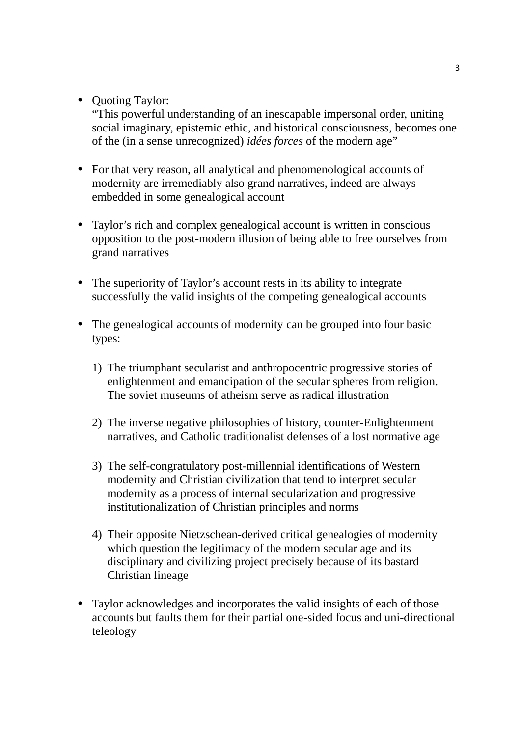• Ouoting Taylor:

"This powerful understanding of an inescapable impersonal order, uniting social imaginary, epistemic ethic, and historical consciousness, becomes one of the (in a sense unrecognized) *idées forces* of the modern age"

- For that very reason, all analytical and phenomenological accounts of modernity are irremediably also grand narratives, indeed are always embedded in some genealogical account
- Taylor's rich and complex genealogical account is written in conscious opposition to the post-modern illusion of being able to free ourselves from grand narratives
- The superiority of Taylor's account rests in its ability to integrate successfully the valid insights of the competing genealogical accounts
- The genealogical accounts of modernity can be grouped into four basic types:
	- 1) The triumphant secularist and anthropocentric progressive stories of enlightenment and emancipation of the secular spheres from religion. The soviet museums of atheism serve as radical illustration
	- 2) The inverse negative philosophies of history, counter-Enlightenment narratives, and Catholic traditionalist defenses of a lost normative age
	- 3) The self-congratulatory post-millennial identifications of Western modernity and Christian civilization that tend to interpret secular modernity as a process of internal secularization and progressive institutionalization of Christian principles and norms
	- 4) Their opposite Nietzschean-derived critical genealogies of modernity which question the legitimacy of the modern secular age and its disciplinary and civilizing project precisely because of its bastard Christian lineage
- Taylor acknowledges and incorporates the valid insights of each of those accounts but faults them for their partial one-sided focus and uni-directional teleology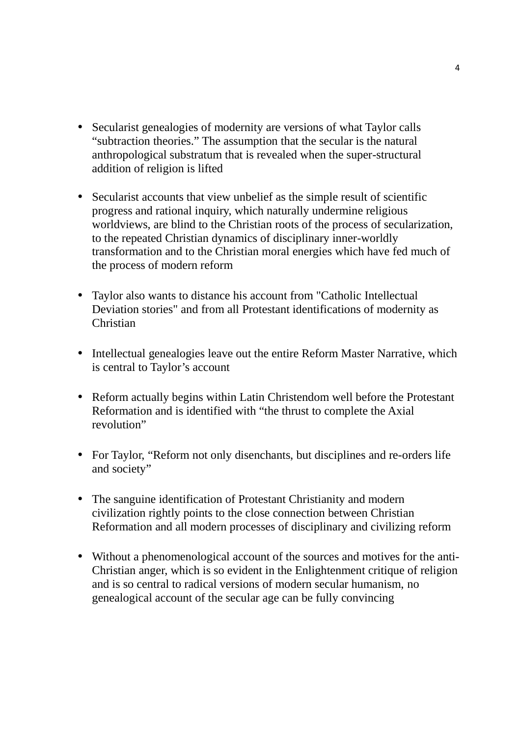- Secularist genealogies of modernity are versions of what Taylor calls "subtraction theories." The assumption that the secular is the natural anthropological substratum that is revealed when the super-structural addition of religion is lifted
- Secularist accounts that view unbelief as the simple result of scientific progress and rational inquiry, which naturally undermine religious worldviews, are blind to the Christian roots of the process of secularization, to the repeated Christian dynamics of disciplinary inner-worldly transformation and to the Christian moral energies which have fed much of the process of modern reform
- Taylor also wants to distance his account from "Catholic Intellectual Deviation stories" and from all Protestant identifications of modernity as Christian
- Intellectual genealogies leave out the entire Reform Master Narrative, which is central to Taylor's account
- Reform actually begins within Latin Christendom well before the Protestant Reformation and is identified with "the thrust to complete the Axial revolution"
- For Taylor, "Reform not only disenchants, but disciplines and re-orders life and society"
- The sanguine identification of Protestant Christianity and modern civilization rightly points to the close connection between Christian Reformation and all modern processes of disciplinary and civilizing reform
- Without a phenomenological account of the sources and motives for the anti- Christian anger, which is so evident in the Enlightenment critique of religion and is so central to radical versions of modern secular humanism, no genealogical account of the secular age can be fully convincing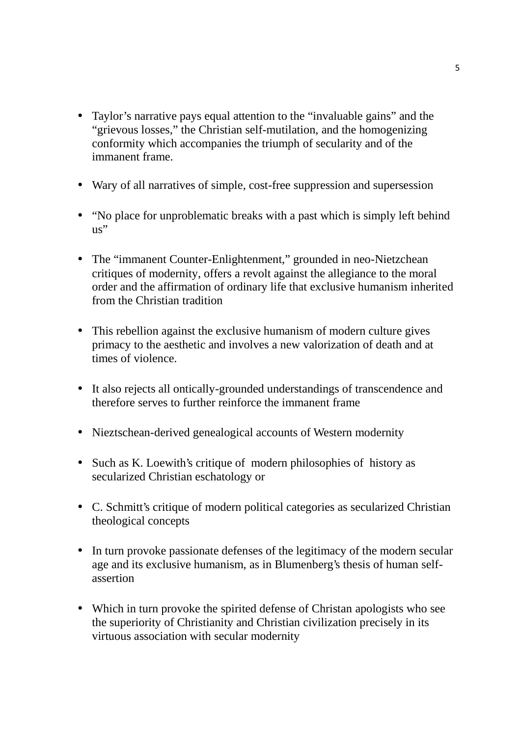- Taylor's narrative pays equal attention to the "invaluable gains" and the "grievous losses," the Christian self-mutilation, and the homogenizing conformity which accompanies the triumph of secularity and of the immanent frame.
- Wary of all narratives of simple, cost-free suppression and supersession
- "No place for unproblematic breaks with a past which is simply left behind us"
- The "immanent Counter-Enlightenment," grounded in neo-Nietzchean critiques of modernity, offers a revolt against the allegiance to the moral order and the affirmation of ordinary life that exclusive humanism inherited from the Christian tradition
- This rebellion against the exclusive humanism of modern culture gives primacy to the aesthetic and involves a new valorization of death and at times of violence.
- It also rejects all ontically-grounded understandings of transcendence and therefore serves to further reinforce the immanent frame
- Nieztschean-derived genealogical accounts of Western modernity
- Such as K. Loewith's critique of modern philosophies of history as secularized Christian eschatology or
- C. Schmitt's critique of modern political categories as secularized Christian theological concepts
- In turn provoke passionate defenses of the legitimacy of the modern secular age and its exclusive humanism, as in Blumenberg's thesis of human self assertion
- Which in turn provoke the spirited defense of Christan apologists who see the superiority of Christianity and Christian civilization precisely in its virtuous association with secular modernity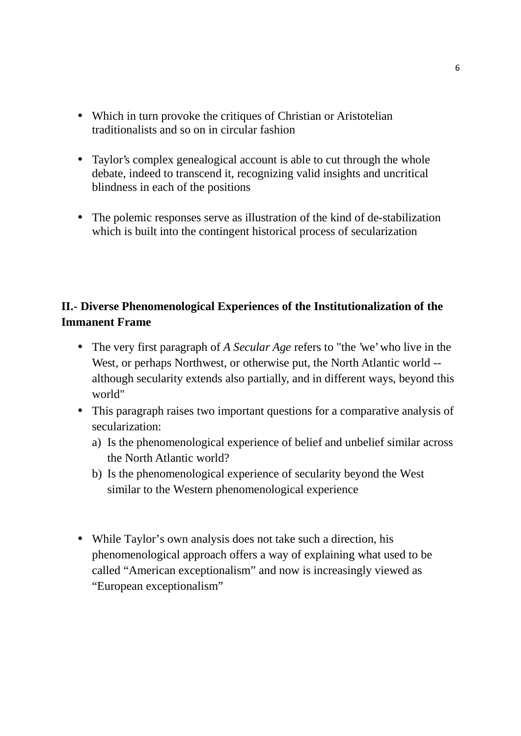- Which in turn provoke the critiques of Christian or Aristotelian traditionalists and so on in circular fashion
- Taylor's complex genealogical account is able to cut through the whole debate, indeed to transcend it, recognizing valid insights and uncritical blindness in each of the positions
- The polemic responses serve as illustration of the kind of de-stabilization which is built into the contingent historical process of secularization

## **II.- Diverse Phenomenological Experiences of the Institutionalization of the Immanent Frame**

- The very first paragraph of *A Secular Age* refers to "the 'we' who live in the West, or perhaps Northwest, or otherwise put, the North Atlantic world - although secularity extends also partially, and in different ways, beyond this world"
- This paragraph raises two important questions for a comparative analysis of secularization:
	- a) Is the phenomenological experience of belief and unbelief similar across the North Atlantic world?
	- b) Is the phenomenological experience of secularity beyond the West similar to the Western phenomenological experience
- While Taylor's own analysis does not take such a direction, his phenomenological approach offers a way of explaining what used to be called "American exceptionalism" and now is increasingly viewed as "European exceptionalism"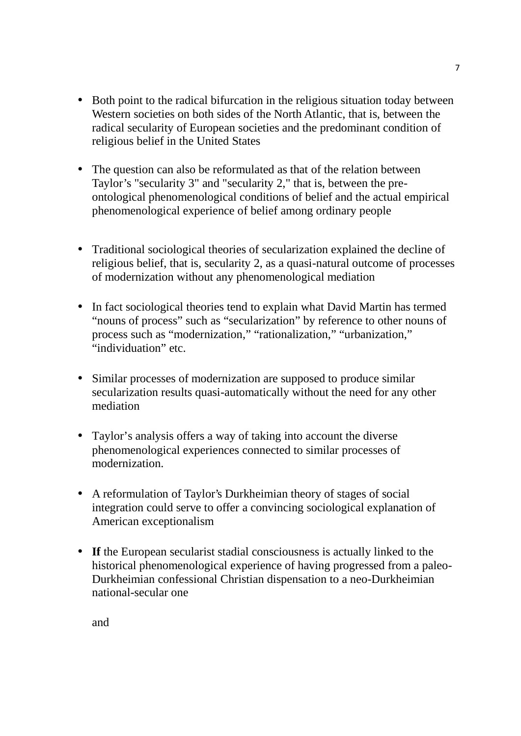- Both point to the radical bifurcation in the religious situation today between Western societies on both sides of the North Atlantic, that is, between the radical secularity of European societies and the predominant condition of religious belief in the United States
- The question can also be reformulated as that of the relation between Taylor's "secularity 3" and "secularity 2," that is, between the pre ontological phenomenological conditions of belief and the actual empirical phenomenological experience of belief among ordinary people
- Traditional sociological theories of secularization explained the decline of religious belief, that is, secularity 2, as a quasi-natural outcome of processes of modernization without any phenomenological mediation
- In fact sociological theories tend to explain what David Martin has termed "nouns of process" such as "secularization" by reference to other nouns of process such as "modernization," "rationalization," "urbanization," "individuation" etc.
- Similar processes of modernization are supposed to produce similar secularization results quasi-automatically without the need for any other mediation
- Taylor's analysis offers a way of taking into account the diverse phenomenological experiences connected to similar processes of modernization.
- A reformulation of Taylor's Durkheimian theory of stages of social integration could serve to offer a convincing sociological explanation of American exceptionalism
- **If** the European secularist stadial consciousness is actually linked to the historical phenomenological experience of having progressed from a paleo- Durkheimian confessional Christian dispensation to a neo-Durkheimian national-secular one

and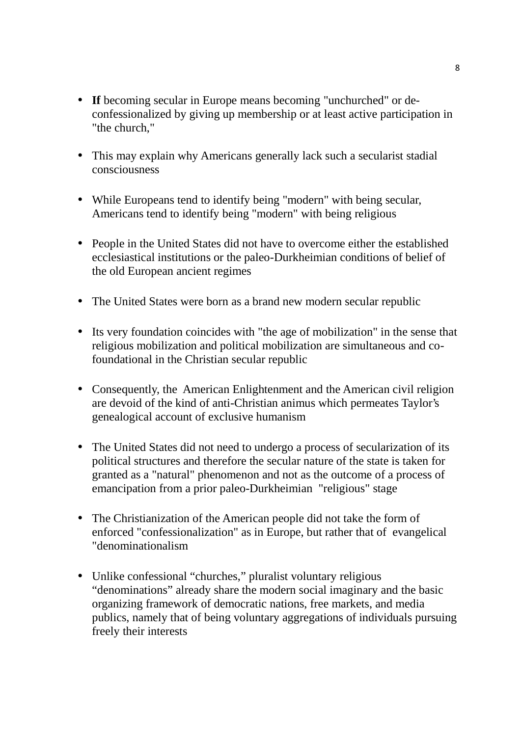- **If** becoming secular in Europe means becoming "unchurched" or de confessionalized by giving up membership or at least active participation in "the church,"
- This may explain why Americans generally lack such a secularist stadial consciousness
- While Europeans tend to identify being "modern" with being secular, Americans tend to identify being "modern" with being religious
- People in the United States did not have to overcome either the established ecclesiastical institutions or the paleo-Durkheimian conditions of belief of the old European ancient regimes
- The United States were born as a brand new modern secular republic
- Its very foundation coincides with "the age of mobilization" in the sense that religious mobilization and political mobilization are simultaneous and cofoundational in the Christian secular republic
- Consequently, the American Enlightenment and the American civil religion are devoid of the kind of anti-Christian animus which permeates Taylor's genealogical account of exclusive humanism
- The United States did not need to undergo a process of secularization of its political structures and therefore the secular nature of the state is taken for granted as a "natural" phenomenon and not as the outcome of a process of emancipation from a prior paleo-Durkheimian "religious" stage
- The Christianization of the American people did not take the form of enforced "confessionalization" as in Europe, but rather that of evangelical "denominationalism
- Unlike confessional "churches," pluralist voluntary religious "denominations" already share the modern social imaginary and the basic organizing framework of democratic nations, free markets, and media publics, namely that of being voluntary aggregations of individuals pursuing freely their interests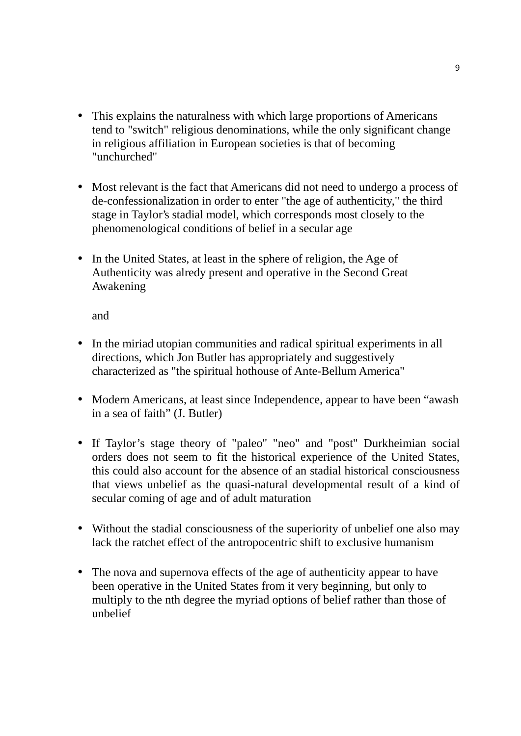- This explains the naturalness with which large proportions of Americans tend to "switch" religious denominations, while the only significant change in religious affiliation in European societies is that of becoming "unchurched"
- Most relevant is the fact that Americans did not need to undergo a process of de-confessionalization in order to enter "the age of authenticity," the third stage in Taylor's stadial model, which corresponds most closely to the phenomenological conditions of belief in a secular age
- In the United States, at least in the sphere of religion, the Age of Authenticity was alredy present and operative in the Second Great Awakening

and

- In the miriad utopian communities and radical spiritual experiments in all directions, which Jon Butler has appropriately and suggestively characterized as "the spiritual hothouse of Ante-Bellum America"
- Modern Americans, at least since Independence, appear to have been "awash" in a sea of faith" (J. Butler)
- If Taylor's stage theory of "paleo" "neo" and "post" Durkheimian social orders does not seem to fit the historical experience of the United States, this could also account for the absence of an stadial historical consciousness that views unbelief as the quasi-natural developmental result of a kind of secular coming of age and of adult maturation
- Without the stadial consciousness of the superiority of unbelief one also may lack the ratchet effect of the antropocentric shift to exclusive humanism
- The nova and supernova effects of the age of authenticity appear to have been operative in the United States from it very beginning, but only to multiply to the nth degree the myriad options of belief rather than those of unbelief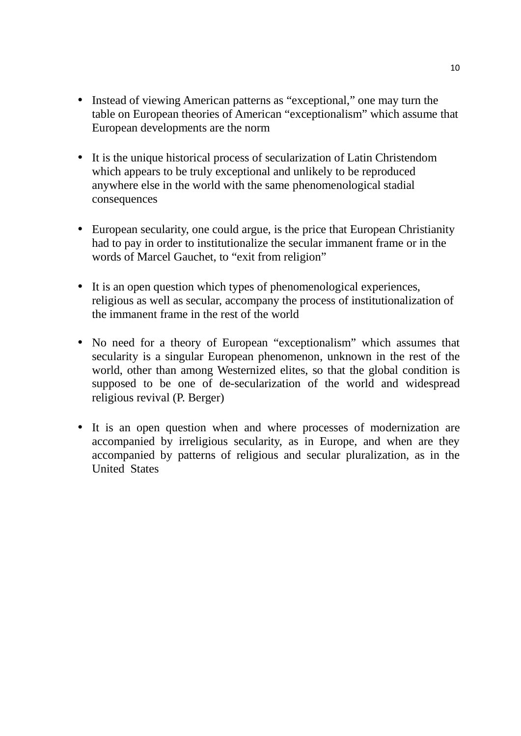- Instead of viewing American patterns as "exceptional," one may turn the table on European theories of American "exceptionalism" which assume that European developments are the norm
- It is the unique historical process of secularization of Latin Christendom which appears to be truly exceptional and unlikely to be reproduced anywhere else in the world with the same phenomenological stadial consequences
- European secularity, one could argue, is the price that European Christianity had to pay in order to institutionalize the secular immanent frame or in the words of Marcel Gauchet, to "exit from religion"
- It is an open question which types of phenomenological experiences, religious as well as secular, accompany the process of institutionalization of the immanent frame in the rest of the world
- No need for a theory of European "exceptionalism" which assumes that secularity is a singular European phenomenon, unknown in the rest of the world, other than among Westernized elites, so that the global condition is supposed to be one of de-secularization of the world and widespread religious revival (P. Berger)
- It is an open question when and where processes of modernization are accompanied by irreligious secularity, as in Europe, and when are they accompanied by patterns of religious and secular pluralization, as in the United States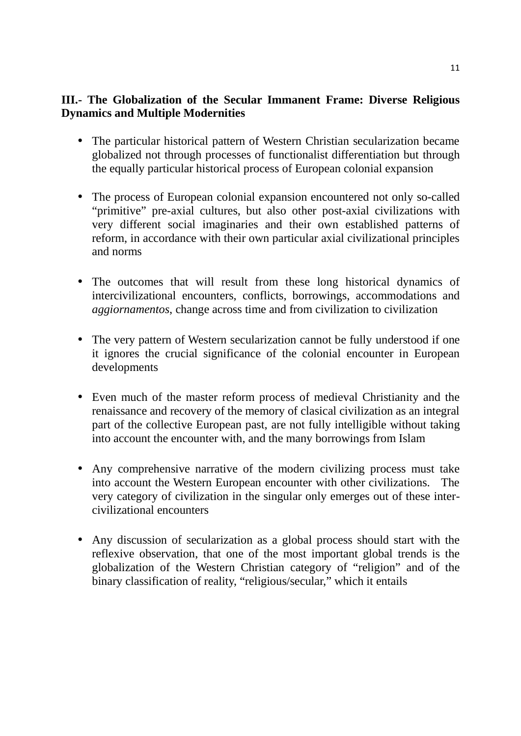## **III.- The Globalization of the Secular Immanent Frame: Diverse Religious Dynamics and Multiple Modernities**

- The particular historical pattern of Western Christian secularization became globalized not through processes of functionalist differentiation but through the equally particular historical process of European colonial expansion
- The process of European colonial expansion encountered not only so-called "primitive" pre-axial cultures, but also other post-axial civilizations with very different social imaginaries and their own established patterns of reform, in accordance with their own particular axial civilizational principles and norms
- The outcomes that will result from these long historical dynamics of intercivilizational encounters, conflicts, borrowings, accommodations and *aggiornamentos*, change across time and from civilization to civilization
- The very pattern of Western secularization cannot be fully understood if one it ignores the crucial significance of the colonial encounter in European developments
- Even much of the master reform process of medieval Christianity and the renaissance and recovery of the memory of clasical civilization as an integral part of the collective European past, are not fully intelligible without taking into account the encounter with, and the many borrowings from Islam
- Any comprehensive narrative of the modern civilizing process must take into account the Western European encounter with other civilizations. The very category of civilization in the singular only emerges out of these inter civilizational encounters
- Any discussion of secularization as a global process should start with the reflexive observation, that one of the most important global trends is the globalization of the Western Christian category of "religion" and of the binary classification of reality, "religious/secular," which it entails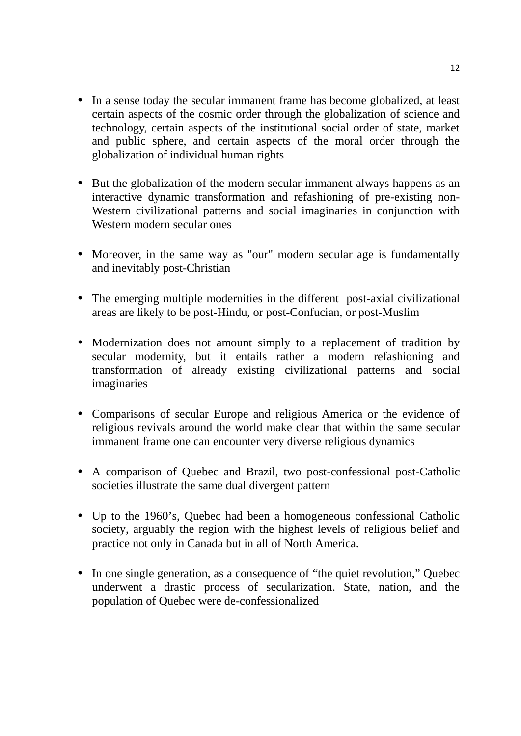- In a sense today the secular immanent frame has become globalized, at least certain aspects of the cosmic order through the globalization of science and technology, certain aspects of the institutional social order of state, market and public sphere, and certain aspects of the moral order through the globalization of individual human rights
- But the globalization of the modern secular immanent always happens as an interactive dynamic transformation and refashioning of pre-existing non- Western civilizational patterns and social imaginaries in conjunction with Western modern secular ones
- Moreover, in the same way as "our" modern secular age is fundamentally and inevitably post-Christian
- The emerging multiple modernities in the different post-axial civilizational areas are likely to be post-Hindu, or post-Confucian, or post-Muslim
- Modernization does not amount simply to a replacement of tradition by secular modernity, but it entails rather a modern refashioning and transformation of already existing civilizational patterns and social imaginaries
- Comparisons of secular Europe and religious America or the evidence of religious revivals around the world make clear that within the same secular immanent frame one can encounter very diverse religious dynamics
- A comparison of Quebec and Brazil, two post-confessional post-Catholic societies illustrate the same dual divergent pattern
- Up to the 1960's, Quebec had been a homogeneous confessional Catholic society, arguably the region with the highest levels of religious belief and practice not only in Canada but in all of North America.
- In one single generation, as a consequence of "the quiet revolution," Quebec underwent a drastic process of secularization. State, nation, and the population of Quebec were de-confessionalized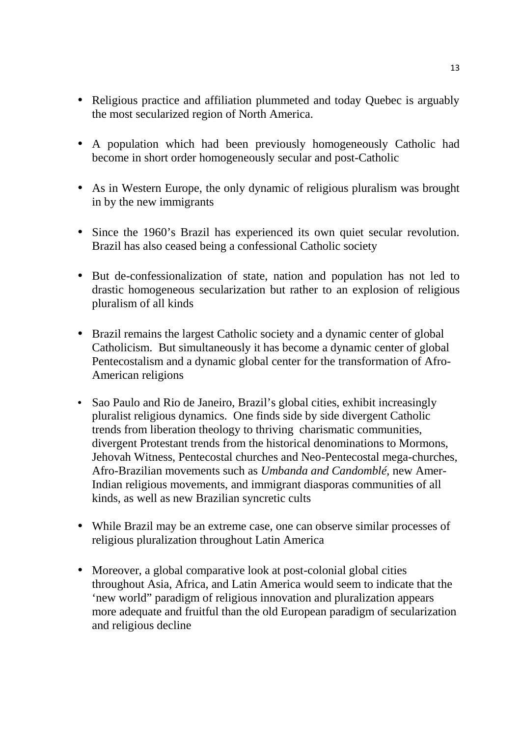- Religious practice and affiliation plummeted and today Ouebec is arguably the most secularized region of North America.
- A population which had been previously homogeneously Catholic had become in short order homogeneously secular and post-Catholic
- As in Western Europe, the only dynamic of religious pluralism was brought in by the new immigrants
- Since the 1960's Brazil has experienced its own quiet secular revolution. Brazil has also ceased being a confessional Catholic society
- But de-confessionalization of state, nation and population has not led to drastic homogeneous secularization but rather to an explosion of religious pluralism of all kinds
- Brazil remains the largest Catholic society and a dynamic center of global Catholicism. But simultaneously it has become a dynamic center of global Pentecostalism and a dynamic global center for the transformation of Afro- American religions
- Sao Paulo and Rio de Janeiro, Brazil's global cities, exhibit increasingly pluralist religious dynamics. One finds side by side divergent Catholic trends from liberation theology to thriving charismatic communities, divergent Protestant trends from the historical denominations to Mormons, Jehovah Witness, Pentecostal churches and Neo-Pentecostal mega-churches, Afro-Brazilian movements such as *Umbanda and Candomblé,* new Amer-Indian religious movements, and immigrant diasporas communities of all kinds, as well as new Brazilian syncretic cults
- While Brazil may be an extreme case, one can observe similar processes of religious pluralization throughout Latin America
- Moreover, a global comparative look at post-colonial global cities throughout Asia, Africa, and Latin America would seem to indicate that the 'new world" paradigm of religious innovation and pluralization appears more adequate and fruitful than the old European paradigm of secularization and religious decline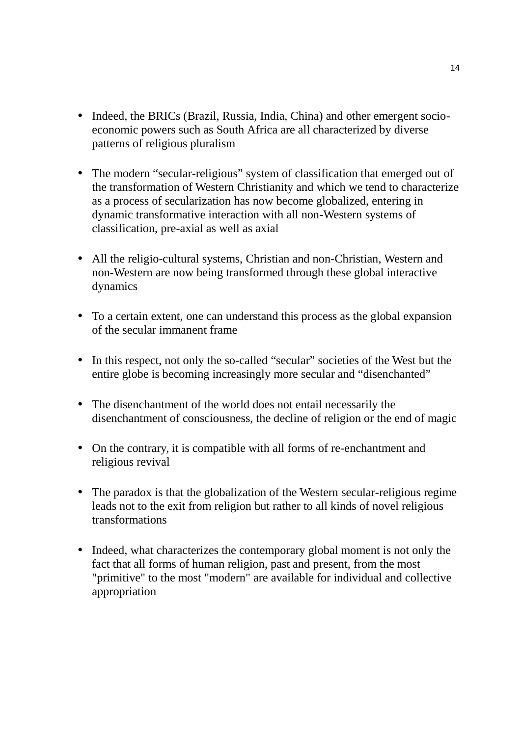- Indeed, the BRICs (Brazil, Russia, India, China) and other emergent socioeconomic powers such as South Africa are all characterized by diverse patterns of religious pluralism
- The modern "secular-religious" system of classification that emerged out of the transformation of Western Christianity and which we tend to characterize as a process of secularization has now become globalized, entering in dynamic transformative interaction with all non-Western systems of classification, pre-axial as well as axial
- All the religio-cultural systems, Christian and non-Christian, Western and non-Western are now being transformed through these global interactive dynamics
- To a certain extent, one can understand this process as the global expansion of the secular immanent frame
- In this respect, not only the so-called "secular" societies of the West but the entire globe is becoming increasingly more secular and "disenchanted"
- The disenchantment of the world does not entail necessarily the disenchantment of consciousness, the decline of religion or the end of magic
- On the contrary, it is compatible with all forms of re-enchantment and religious revival
- The paradox is that the globalization of the Western secular-religious regime leads not to the exit from religion but rather to all kinds of novel religious transformations
- Indeed, what characterizes the contemporary global moment is not only the fact that all forms of human religion, past and present, from the most "primitive" to the most "modern" are available for individual and collective appropriation